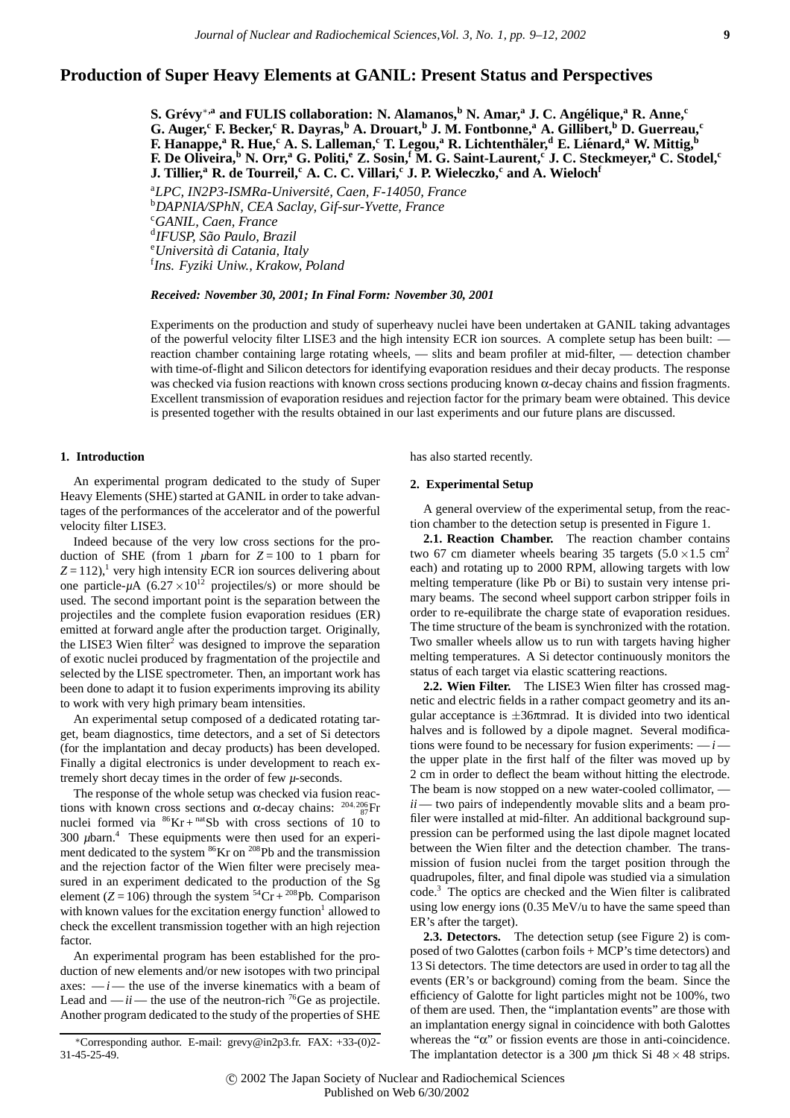# **Production of Super Heavy Elements at GANIL: Present Status and Perspectives**

**S. Grevy ´** <sup>∗</sup>**,a and FULIS collaboration: N. Alamanos,<sup>b</sup> N. Amar,<sup>a</sup> J. C. Angelique, ´ <sup>a</sup> R. Anne,c G. Auger,<sup>c</sup> F. Becker,<sup>c</sup> R. Dayras,<sup>b</sup> A. Drouart,<sup>b</sup> J. M. Fontbonne,a A. Gillibert,b D. Guerreau,<sup>c</sup> F. Hanappe,<sup>a</sup> R. Hue,<sup>c</sup> A. S. Lalleman,<sup>c</sup> T. Legou,<sup>a</sup> R. Lichtenthaler, ¨ <sup>d</sup> E. Lienard, ´ <sup>a</sup> W. Mittig,b F. De Oliveira,<sup>b</sup> N. Orr,<sup>a</sup> G. Politi,e Z. Sosin,f M. G. Saint-Laurent,c J. C. Steckmeyer,<sup>a</sup> C. Stodel,c J. Tillier,<sup>a</sup> R. de Tourreil,<sup>c</sup> A. C. C. Villari,<sup>c</sup> J. P. Wieleczko,<sup>c</sup> and A. Wielochf** <sup>a</sup>LPC, IN2P3-ISMRa-Université, Caen, F-14050, France<br><sup>b</sup>DAPNIA/SPbN, CEA Saclay, Gif-sur-Yyette, France

*DAPNIA/SPhN, CEA Saclay, Gif-sur-Yvette, France* c *GANIL, Caen, France* <sup>d</sup>IFUSP, São Paulo, Brazil<br>©Llniversità di Catania, Itc *Universita di Catania, Italy `* <sup>f</sup> *Ins. Fyziki Uniw., Krakow, Poland*

#### *Received: November 30, 2001; In Final Form: November 30, 2001*

Experiments on the production and study of superheavy nuclei have been undertaken at GANIL taking advantages of the powerful velocity filter LISE3 and the high intensity ECR ion sources. A complete setup has been built: reaction chamber containing large rotating wheels, — slits and beam profiler at mid-filter, — detection chamber with time-of-flight and Silicon detectors for identifying evaporation residues and their decay products. The response was checked via fusion reactions with known cross sections producing known α-decay chains and fission fragments. Excellent transmission of evaporation residues and rejection factor for the primary beam were obtained. This device is presented together with the results obtained in our last experiments and our future plans are discussed.

## **1. Introduction**

An experimental program dedicated to the study of Super Heavy Elements (SHE) started at GANIL in order to take advantages of the performances of the accelerator and of the powerful velocity filter LISE3.

Indeed because of the very low cross sections for the production of SHE (from 1  $\mu$ barn for  $Z = 100$  to 1 pbarn for  $Z = 112$ ,<sup>1</sup> very high intensity ECR ion sources delivering about one particle- $\mu$ A (6.27 × 10<sup>12</sup> projectiles/s) or more should be used. The second important point is the separation between the projectiles and the complete fusion evaporation residues (ER) emitted at forward angle after the production target. Originally, the LISE3 Wien filter $\frac{1}{2}$  was designed to improve the separation of exotic nuclei produced by fragmentation of the projectile and selected by the LISE spectrometer. Then, an important work has been done to adapt it to fusion experiments improving its ability to work with very high primary beam intensities.

An experimental setup composed of a dedicated rotating target, beam diagnostics, time detectors, and a set of Si detectors (for the implantation and decay products) has been developed. Finally a digital electronics is under development to reach extremely short decay times in the order of few *µ*-seconds.

The response of the whole setup was checked via fusion reactions with known cross sections and  $\alpha$ -decay chains:  $^{204,206}_{87}$ Fr nuclei formed via  ${}^{86}\text{Kr} + {}^{nat}\text{Sb}$  with cross sections of 10 to 300  $\mu$ barn.<sup>4</sup> These equipments were then used for an experiment dedicated to the system  $86$ Kr on  $208$ Pb and the transmission and the rejection factor of the Wien filter were precisely measured in an experiment dedicated to the production of the Sg element ( $Z = 106$ ) through the system <sup>54</sup>Cr + <sup>208</sup>Pb. Comparison with known values for the excitation energy function<sup>1</sup> allowed to check the excellent transmission together with an high rejection factor

An experimental program has been established for the production of new elements and/or new isotopes with two principal axes:  $\frac{ -i}{ }$  the use of the inverse kinematics with a beam of Lead and  $-ii$  — the use of the neutron-rich <sup>76</sup>Ge as projectile. Another program dedicated to the study of the properties of SHE has also started recently.

## **2. Experimental Setup**

A general overview of the experimental setup, from the reaction chamber to the detection setup is presented in Figure 1.

**2.1. Reaction Chamber.** The reaction chamber contains two 67 cm diameter wheels bearing 35 targets  $(5.0 \times 1.5 \text{ cm}^2)$ each) and rotating up to 2000 RPM, allowing targets with low melting temperature (like Pb or Bi) to sustain very intense primary beams. The second wheel support carbon stripper foils in order to re-equilibrate the charge state of evaporation residues. The time structure of the beam is synchronized with the rotation. Two smaller wheels allow us to run with targets having higher melting temperatures. A Si detector continuously monitors the status of each target via elastic scattering reactions.

**2.2. Wien Filter.** The LISE3 Wien filter has crossed magnetic and electric fields in a rather compact geometry and its angular acceptance is  $\pm 36\pi$ mrad. It is divided into two identical halves and is followed by a dipole magnet. Several modifications were found to be necessary for fusion experiments: —*i* the upper plate in the first half of the filter was moved up by 2 cm in order to deflect the beam without hitting the electrode. The beam is now stopped on a new water-cooled collimator, *ii* — two pairs of independently movable slits and a beam profiler were installed at mid-filter. An additional background suppression can be performed using the last dipole magnet located between the Wien filter and the detection chamber. The transmission of fusion nuclei from the target position through the quadrupoles, filter, and final dipole was studied via a simulation code.3 The optics are checked and the Wien filter is calibrated using low energy ions (0.35 MeV/u to have the same speed than ER's after the target).

**2.3. Detectors.** The detection setup (see Figure 2) is composed of two Galottes (carbon foils + MCP's time detectors) and 13 Si detectors. The time detectors are used in order to tag all the events (ER's or background) coming from the beam. Since the efficiency of Galotte for light particles might not be 100%, two of them are used. Then, the "implantation events" are those with an implantation energy signal in coincidence with both Galottes whereas the " $\alpha$ " or fission events are those in anti-coincidence. The implantation detector is a 300  $\mu$ m thick Si 48  $\times$  48 strips.

<sup>∗</sup>Corresponding author. E-mail: grevy@in2p3.fr. FAX: +33-(0)2- 31-45-25-49.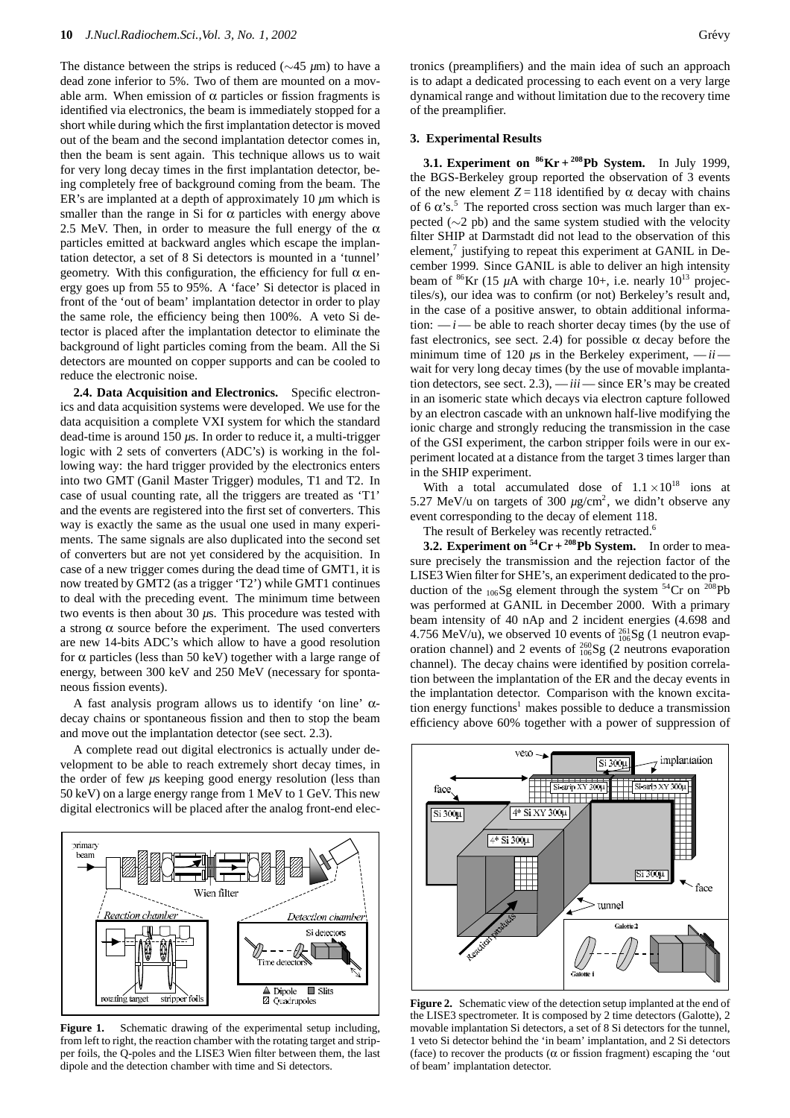The distance between the strips is reduced (∼45 *µ*m) to have a dead zone inferior to 5%. Two of them are mounted on a movable arm. When emission of  $\alpha$  particles or fission fragments is identified via electronics, the beam is immediately stopped for a short while during which the first implantation detector is moved out of the beam and the second implantation detector comes in, then the beam is sent again. This technique allows us to wait for very long decay times in the first implantation detector, being completely free of background coming from the beam. The ER's are implanted at a depth of approximately 10 *µ*m which is smaller than the range in Si for  $\alpha$  particles with energy above 2.5 MeV. Then, in order to measure the full energy of the  $\alpha$ particles emitted at backward angles which escape the implantation detector, a set of 8 Si detectors is mounted in a 'tunnel' geometry. With this configuration, the efficiency for full  $\alpha$  energy goes up from 55 to 95%. A 'face' Si detector is placed in front of the 'out of beam' implantation detector in order to play the same role, the efficiency being then 100%. A veto Si detector is placed after the implantation detector to eliminate the background of light particles coming from the beam. All the Si detectors are mounted on copper supports and can be cooled to reduce the electronic noise.

**2.4. Data Acquisition and Electronics.** Specific electronics and data acquisition systems were developed. We use for the data acquisition a complete VXI system for which the standard dead-time is around 150 *µ*s. In order to reduce it, a multi-trigger logic with 2 sets of converters (ADC's) is working in the following way: the hard trigger provided by the electronics enters into two GMT (Ganil Master Trigger) modules, T1 and T2. In case of usual counting rate, all the triggers are treated as 'T1' and the events are registered into the first set of converters. This way is exactly the same as the usual one used in many experiments. The same signals are also duplicated into the second set of converters but are not yet considered by the acquisition. In case of a new trigger comes during the dead time of GMT1, it is now treated by GMT2 (as a trigger 'T2') while GMT1 continues to deal with the preceding event. The minimum time between two events is then about 30 *µ*s. This procedure was tested with a strong  $\alpha$  source before the experiment. The used converters are new 14-bits ADC's which allow to have a good resolution for α particles (less than 50 keV) together with a large range of energy, between 300 keV and 250 MeV (necessary for spontaneous fission events).

A fast analysis program allows us to identify 'on line' αdecay chains or spontaneous fission and then to stop the beam and move out the implantation detector (see sect. 2.3).

A complete read out digital electronics is actually under development to be able to reach extremely short decay times, in the order of few  $\mu$ s keeping good energy resolution (less than 50 keV) on a large energy range from 1 MeV to 1 GeV. This new digital electronics will be placed after the analog front-end elec-



Figure 1. Schematic drawing of the experimental setup including, from left to right, the reaction chamber with the rotating target and stripper foils, the Q-poles and the LISE3 Wien filter between them, the last dipole and the detection chamber with time and Si detectors.

tronics (preamplifiers) and the main idea of such an approach is to adapt a dedicated processing to each event on a very large dynamical range and without limitation due to the recovery time of the preamplifier.

## **3. Experimental Results**

**3.1. Experiment on 86Kr + 208Pb System.** In July 1999, the BGS-Berkeley group reported the observation of 3 events of the new element  $Z = 118$  identified by α decay with chains of 6  $\alpha$ 's.<sup>5</sup> The reported cross section was much larger than expected ( $\sim$ 2 pb) and the same system studied with the velocity filter SHIP at Darmstadt did not lead to the observation of this element,<sup>7</sup> justifying to repeat this experiment at GANIL in December 1999. Since GANIL is able to deliver an high intensity beam of  ${}^{86}\text{Kr}$  (15  $\mu$ A with charge 10+, i.e. nearly 10<sup>13</sup> projectiles/s), our idea was to confirm (or not) Berkeley's result and, in the case of a positive answer, to obtain additional information:  $-i$  be able to reach shorter decay times (by the use of fast electronics, see sect. 2.4) for possible  $\alpha$  decay before the minimum time of 120  $\mu$ s in the Berkeley experiment,  $-ii$ wait for very long decay times (by the use of movable implantation detectors, see sect. 2.3), —*iii* — since ER's may be created in an isomeric state which decays via electron capture followed by an electron cascade with an unknown half-live modifying the ionic charge and strongly reducing the transmission in the case of the GSI experiment, the carbon stripper foils were in our experiment located at a distance from the target 3 times larger than in the SHIP experiment.

With a total accumulated dose of  $1.1 \times 10^{18}$  ions at 5.27 MeV/u on targets of 300  $\mu$ g/cm<sup>2</sup>, we didn't observe any event corresponding to the decay of element 118.

The result of Berkeley was recently retracted.<sup>6</sup>

**3.2. Experiment on**  $54$ Cr +  $208$ Pb System. In order to measure precisely the transmission and the rejection factor of the LISE3 Wien filter for SHE's, an experiment dedicated to the production of the  $_{106}$ Sg element through the system <sup>54</sup>Cr on <sup>208</sup>Pb was performed at GANIL in December 2000. With a primary beam intensity of 40 nAp and 2 incident energies (4.698 and 4.756 MeV/u), we observed 10 events of  $^{261}_{106}$ Sg (1 neutron evaporation channel) and 2 events of  $^{260}_{106}$ Sg (2 neutrons evaporation channel). The decay chains were identified by position correlation between the implantation of the ER and the decay events in the implantation detector. Comparison with the known excitation energy functions<sup>1</sup> makes possible to deduce a transmission efficiency above 60% together with a power of suppression of



**Figure 2.** Schematic view of the detection setup implanted at the end of the LISE3 spectrometer. It is composed by 2 time detectors (Galotte), 2 movable implantation Si detectors, a set of 8 Si detectors for the tunnel, 1 veto Si detector behind the 'in beam' implantation, and 2 Si detectors (face) to recover the products ( $\alpha$  or fission fragment) escaping the 'out of beam' implantation detector.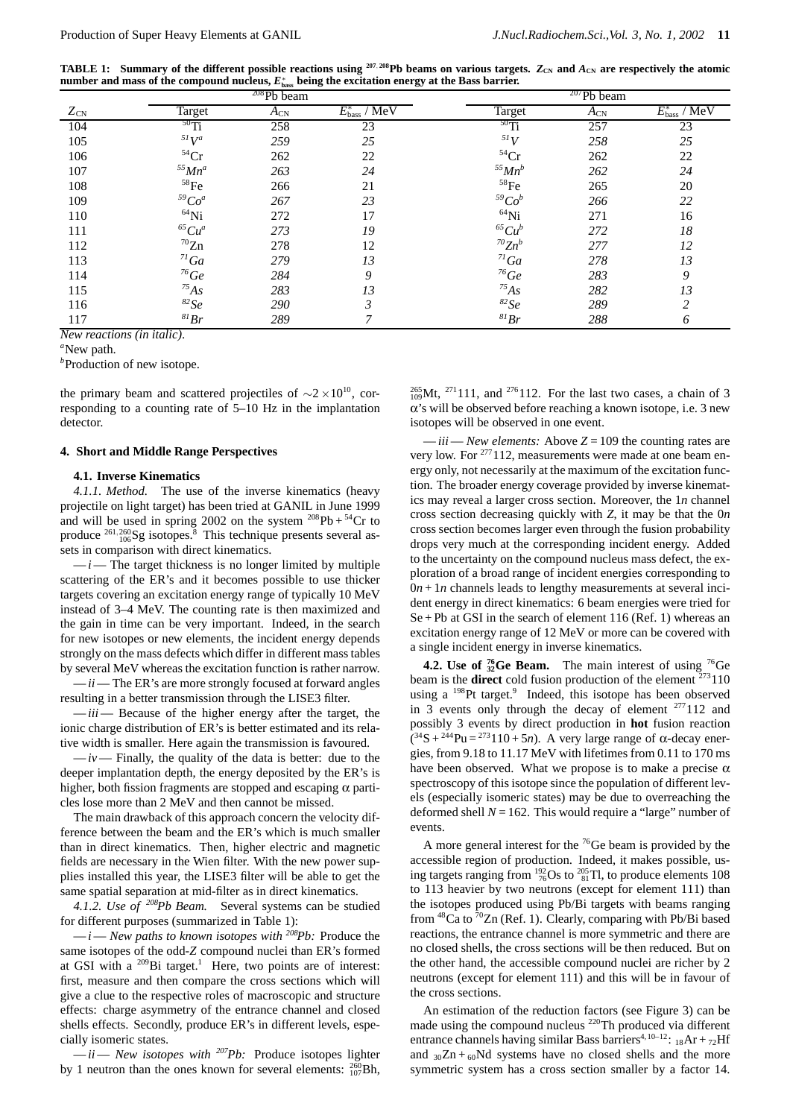**TABLE 1:** Summary of the different possible reactions using  $207, 208$ Pb beams on various targets.  $Z_{\text{CN}}$  and  $A_{\text{CN}}$  are respectively the atomic  $\mathbf{p}$  number and mass of the compound nucleus,  $E_\text{bass}^*$  being the excitation energy at the Bass barrier.

|              | $208Pb$ beam       |              |                                     | $\sqrt[207]{Pb}$ beam |              |                                               |
|--------------|--------------------|--------------|-------------------------------------|-----------------------|--------------|-----------------------------------------------|
| $Z_{\rm CN}$ | Target             | $A_{\rm CN}$ | $E_{\rm bass}^*$ /<br>$\sqrt{}$ MeV | <b>Target</b>         | $A_{\rm CN}$ | $E^*_{\text{bass}}$ / $\overline{\text{MeV}}$ |
| 104          | $^{50}\mathrm{Ti}$ | 258          | 23                                  | $50$ Ti               | 257          | 23                                            |
| 105          | $^{51}V^a$         | 259          | 25                                  | 51V                   | 258          | 25                                            |
| 106          | $54$ Cr            | 262          | 22                                  | ${}^{54}Cr$           | 262          | 22                                            |
| 107          | $^{55}Mn^a$        | 263          | 24                                  | $^{55}Mn^b$           | 262          | 24                                            |
| 108          | $^{58}\mathrm{Fe}$ | 266          | 21                                  | $^{58}\mathrm{Fe}$    | 265          | 20                                            |
| 109          | $^{59}Co^a$        | 267          | 23                                  | 59Co <sup>b</sup>     | 266          | 22                                            |
| 110          | $^{64}$ Ni         | 272          | 17                                  | ${}^{64}$ Ni          | 271          | 16                                            |
| 111          | $^{65}Cu^a$        | 273          | 19                                  | $^{65}Cu^b$           | 272          | 18                                            |
| 112          | $\mathrm{^{70}Zn}$ | 278          | 12                                  | $^{70}Zn^b$           | 277          | 12                                            |
| 113          | $^{71}Ga$          | 279          | 13                                  | $^{71}Ga$             | 278          | 13                                            |
| 114          | $^{76}Ge$          | 284          | 9                                   | $^{76}Ge$             | 283          | 9                                             |
| 115          | $^{75}As$          | 283          | 13                                  | $^{75}As$             | 282          | 13                                            |
| 116          | ${}^{82}Se$        | 290          | 3                                   | ${}^{82}Se$           | 289          | 2                                             |
| 117          | ${}^{81}Br$        | 289          | 7                                   | ${}^{81}Br$           | 288          | 6                                             |

*New reactions (in italic)*.

*a* New path.

*b* Production of new isotope.

the primary beam and scattered projectiles of  $\sim$ 2 ×10<sup>10</sup>, corresponding to a counting rate of 5–10 Hz in the implantation detector.

## **4. Short and Middle Range Perspectives**

#### **4.1. Inverse Kinematics**

*4.1.1. Method.* The use of the inverse kinematics (heavy projectile on light target) has been tried at GANIL in June 1999 and will be used in spring 2002 on the system  $208Pb + 54Cr$  to produce <sup>261,260</sup><sub>106</sub>Sg isotopes.<sup>8</sup> This technique presents several assets in comparison with direct kinematics.

 $-i$ — The target thickness is no longer limited by multiple scattering of the ER's and it becomes possible to use thicker targets covering an excitation energy range of typically 10 MeV instead of 3–4 MeV. The counting rate is then maximized and the gain in time can be very important. Indeed, in the search for new isotopes or new elements, the incident energy depends strongly on the mass defects which differ in different mass tables by several MeV whereas the excitation function is rather narrow.

—*ii* — The ER's are more strongly focused at forward angles resulting in a better transmission through the LISE3 filter.

—*iii* — Because of the higher energy after the target, the ionic charge distribution of ER's is better estimated and its relative width is smaller. Here again the transmission is favoured.

 $-iv$ — Finally, the quality of the data is better: due to the deeper implantation depth, the energy deposited by the ER's is higher, both fission fragments are stopped and escaping  $\alpha$  particles lose more than 2 MeV and then cannot be missed.

The main drawback of this approach concern the velocity difference between the beam and the ER's which is much smaller than in direct kinematics. Then, higher electric and magnetic fields are necessary in the Wien filter. With the new power supplies installed this year, the LISE3 filter will be able to get the same spatial separation at mid-filter as in direct kinematics.

*4.1.2. Use of 208Pb Beam.* Several systems can be studied for different purposes (summarized in Table 1):

—*i*— *New paths to known isotopes with 208Pb:* Produce the same isotopes of the odd-*Z* compound nuclei than ER's formed at GSI with a  $209$ Bi target.<sup>1</sup> Here, two points are of interest: first, measure and then compare the cross sections which will give a clue to the respective roles of macroscopic and structure effects: charge asymmetry of the entrance channel and closed shells effects. Secondly, produce ER's in different levels, especially isomeric states.

—*ii* — *New isotopes with 207Pb:* Produce isotopes lighter by 1 neutron than the ones known for several elements:  $^{260}_{107}$ Bh,

 $^{265}_{109}$ Mt,  $^{271}$ 111, and  $^{276}$ 112. For the last two cases, a chain of 3  $\alpha$ 's will be observed before reaching a known isotope, i.e. 3 new isotopes will be observed in one event.

 $\frac{di}{di}$  *New elements:* Above  $Z = 109$  the counting rates are very low. For  $277112$ , measurements were made at one beam energy only, not necessarily at the maximum of the excitation function. The broader energy coverage provided by inverse kinematics may reveal a larger cross section. Moreover, the 1*n* channel cross section decreasing quickly with *Z*, it may be that the 0*n* cross section becomes larger even through the fusion probability drops very much at the corresponding incident energy. Added to the uncertainty on the compound nucleus mass defect, the exploration of a broad range of incident energies corresponding to  $0n + 1n$  channels leads to lengthy measurements at several incident energy in direct kinematics: 6 beam energies were tried for  $Se + Pb$  at GSI in the search of element 116 (Ref. 1) whereas an excitation energy range of 12 MeV or more can be covered with a single incident energy in inverse kinematics.

**4.2. Use of**  $\frac{76}{32}$ **Ge Beam.** The main interest of using  $\frac{76}{32}$ Ge beam is the **direct** cold fusion production of the element <sup>273</sup>110 using a <sup>198</sup>Pt target.<sup>9</sup> Indeed, this isotope has been observed in  $\overline{3}$  events only through the decay of element  $277112$  and possibly 3 events by direct production in **hot** fusion reaction  $(3^4S + 2^{44}Pu = 273110 + 5n)$ . A very large range of  $\alpha$ -decay energies, from 9.18 to 11.17 MeV with lifetimes from 0.11 to 170 ms have been observed. What we propose is to make a precise  $\alpha$ spectroscopy of this isotope since the population of different levels (especially isomeric states) may be due to overreaching the deformed shell  $N = 162$ . This would require a "large" number of events.

A more general interest for the  $76$ Ge beam is provided by the accessible region of production. Indeed, it makes possible, using targets ranging from  $\frac{^{192}}{^{76}}$ Os to  $\frac{^{205}}{^{81}}$ Tl, to produce elements 108 to 113 heavier by two neutrons (except for element 111) than the isotopes produced using Pb/Bi targets with beams ranging from  $48$ Ca to  $70$ Zn (Ref. 1). Clearly, comparing with Pb/Bi based reactions, the entrance channel is more symmetric and there are no closed shells, the cross sections will be then reduced. But on the other hand, the accessible compound nuclei are richer by 2 neutrons (except for element 111) and this will be in favour of the cross sections.

An estimation of the reduction factors (see Figure 3) can be made using the compound nucleus  $^{220}$ Th produced via different entrance channels having similar Bass barriers<sup>4, 10–12</sup>: 18Ar + 72Hf and  $30Zn + 60Nd$  systems have no closed shells and the more symmetric system has a cross section smaller by a factor 14.